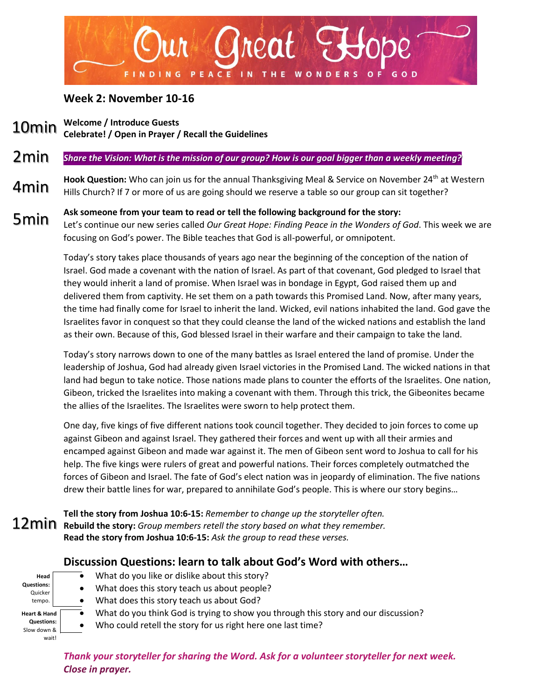

## **Week 2: November 10-16**

- **Welcome / Introduce Guests Celebrate! / Open in Prayer / Recall the Guidelines** 10min
- *Share the Vision: What is the mission of our group? How is our goal bigger than a weekly meeting?* 2min
- Hook Question: Who can join us for the annual Thanksgiving Meal & Service on November 24<sup>th</sup> at Western Hills Church? If 7 or more of us are going should we reserve a table so our group can sit together? 4min
- **Ask someone from your team to read or tell the following background for the story:** Let's continue our new series called *Our Great Hope: Finding Peace in the Wonders of God*. This week we are focusing on God's power. The Bible teaches that God is all-powerful, or omnipotent. 5min

Today's story takes place thousands of years ago near the beginning of the conception of the nation of Israel. God made a covenant with the nation of Israel. As part of that covenant, God pledged to Israel that they would inherit a land of promise. When Israel was in bondage in Egypt, God raised them up and delivered them from captivity. He set them on a path towards this Promised Land. Now, after many years, the time had finally come for Israel to inherit the land. Wicked, evil nations inhabited the land. God gave the Israelites favor in conquest so that they could cleanse the land of the wicked nations and establish the land as their own. Because of this, God blessed Israel in their warfare and their campaign to take the land.

Today's story narrows down to one of the many battles as Israel entered the land of promise. Under the leadership of Joshua, God had already given Israel victories in the Promised Land. The wicked nations in that land had begun to take notice. Those nations made plans to counter the efforts of the Israelites. One nation, Gibeon, tricked the Israelites into making a covenant with them. Through this trick, the Gibeonites became the allies of the Israelites. The Israelites were sworn to help protect them.

One day, five kings of five different nations took council together. They decided to join forces to come up against Gibeon and against Israel. They gathered their forces and went up with all their armies and encamped against Gibeon and made war against it. The men of Gibeon sent word to Joshua to call for his help. The five kings were rulers of great and powerful nations. Their forces completely outmatched the forces of Gibeon and Israel. The fate of God's elect nation was in jeopardy of elimination. The five nations drew their battle lines for war, prepared to annihilate God's people. This is where our story begins…

**Tell the story from Joshua 10:6-15:** *Remember to change up the storyteller often.* **Rebuild the story:** *Group members retell the story based on what they remember.* **Read the story from Joshua 10:6-15:** *Ask the group to read these verses.*

## **Discussion Questions: learn to talk about God's Word with others…**



- $\bullet$  What do you like or dislike about this story?
- What does this story teach us about people?
- What does this story teach us about God?
- What do you think God is trying to show you through this story and our discussion?
	- Who could retell the story for us right here one last time?

*Thank your storyteller for sharing the Word. Ask for a volunteer storyteller for next week. Close in prayer.*